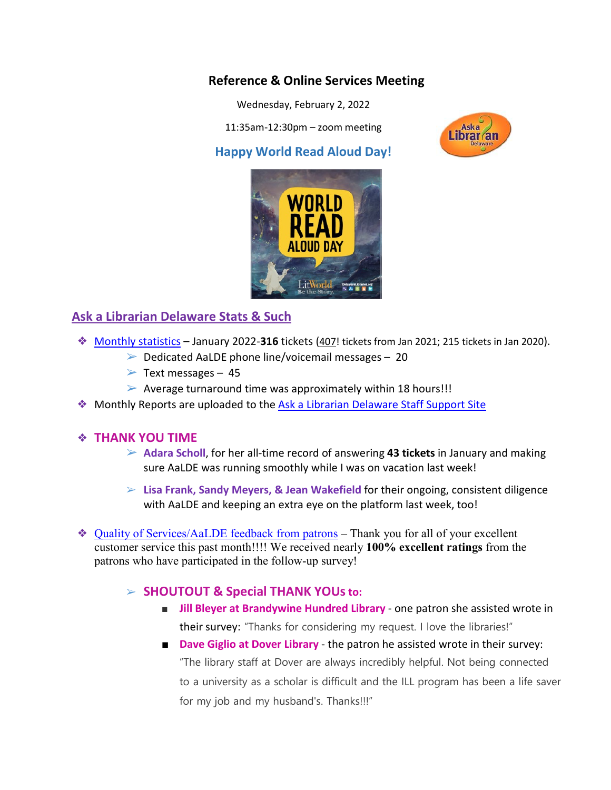#### **Reference & Online Services Meeting**

Wednesday, February 2, 2022

11:35am-12:30pm – zoom meeting

#### **Happy World Read Aloud Day!**



#### **Ask a Librarian Delaware Stats & Such**

- ❖ [Monthly statistics](https://aalstaff.lib.de.us/home/reports/fy22-monthly-reports/) January 2022-**316** tickets (407! tickets from Jan 2021; 215 tickets in Jan 2020).
	- $\triangleright$  Dedicated AaLDE phone line/voicemail messages 20
	- $\triangleright$  Text messages 45
	- $\triangleright$  Average turnaround time was approximately within 18 hours!!!
- ❖ Monthly Reports are uploaded to the [Ask a Librarian Delaware Staff Support Site](https://aalstaff.lib.de.us/home/reports/fy21-monthly-reports/)

#### ❖ **THANK YOU TIME**

- ➢ **Adara Scholl**, for her all-time record of answering **43 tickets** in January and making sure AaLDE was running smoothly while I was on vacation last week!
- ➢ **Lisa Frank, Sandy Meyers, & Jean Wakefield** for their ongoing, consistent diligence with AaLDE and keeping an extra eye on the platform last week, too!

❖ [Quality of Services/](https://ask.springshare.com/libanswers/faq/2830)AaLDE feedback from patrons – Thank you for all of your excellent customer service this past month!!!! We received nearly **100% excellent ratings** from the patrons who have participated in the follow-up survey!

#### ➢ **SHOUTOUT & Special THANK YOUsto:**

- **Jill Bleyer at Brandywine Hundred Library** one patron she assisted wrote in their survey: "Thanks for considering my request. I love the libraries!"
- **Dave Giglio at Dover Library** the patron he assisted wrote in their survey: "The library staff at Dover are always incredibly helpful. Not being connected to a university as a scholar is difficult and the ILL program has been a life saver for my job and my husband's. Thanks!!!"

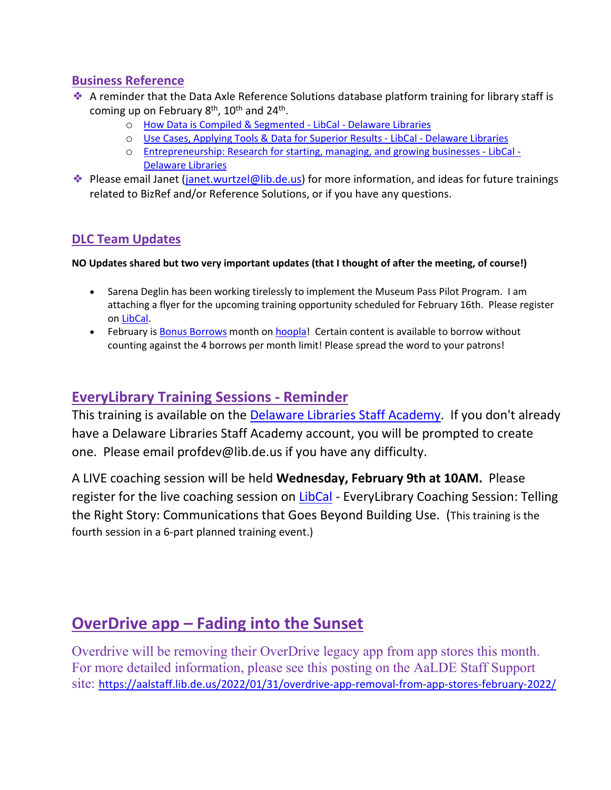#### **Business Reference**

- ❖ A reminder that the Data Axle Reference Solutions database platform training for library staff is coming up on February  $8<sup>th</sup>$ , 10<sup>th</sup> and 24<sup>th</sup>.
	- o [How Data is Compiled & Segmented -](https://delawarelibraries.libcal.com/event/8864604) LibCal Delaware Libraries
	- o [Use Cases, Applying Tools & Data for Superior Results -](https://delawarelibraries.libcal.com/event/8864606) LibCal Delaware Libraries
	- o [Entrepreneurship: Research for starting, managing, and growing businesses -](https://delawarelibraries.libcal.com/event/8864834) LibCal [Delaware Libraries](https://delawarelibraries.libcal.com/event/8864834)
- ◆ Please email Janet (*janet.wurtzel@lib.de.us*) for more information, and ideas for future trainings related to BizRef and/or Reference Solutions, or if you have any questions.

#### **DLC Team Updates**

**NO Updates shared but two very important updates (that I thought of after the meeting, of course!)**

- Sarena Deglin has been working tirelessly to implement the Museum Pass Pilot Program. I am attaching a flyer for the upcoming training opportunity scheduled for February 16th. Please register on [LibCal.](https://delawarelibraries.libcal.com/event/8839103)
- February is [Bonus Borrows](https://www.youtube.com/watch?v=bB3atj3m9Nc) month on [hoopla!](https://lib.de.us/hoopla/) Certain content is available to borrow without counting against the 4 borrows per month limit! Please spread the word to your patrons!

#### **EveryLibrary Training Sessions - Reminder**

This training is available on the [Delaware Libraries Staff Academy.](https://my.nicheacademy.com/delawarelibrariesstaffacademy/course/41628) If you don't already have a Delaware Libraries Staff Academy account, you will be prompted to create one. Please email profdev@lib.de.us if you have any difficulty.

A LIVE coaching session will be held **Wednesday, February 9th at 10AM.** Please register for the live coaching session on [LibCal](https://delawarelibraries.libcal.com/event/8380669) - EveryLibrary Coaching Session: Telling the Right Story: Communications that Goes Beyond Building Use. (This training is the fourth session in a 6-part planned training event.)

## **OverDrive app – Fading into the Sunset**

Overdrive will be removing their OverDrive legacy app from app stores this month. For more detailed information, please see this posting on the AaLDE Staff Support site: <https://aalstaff.lib.de.us/2022/01/31/overdrive-app-removal-from-app-stores-february-2022/>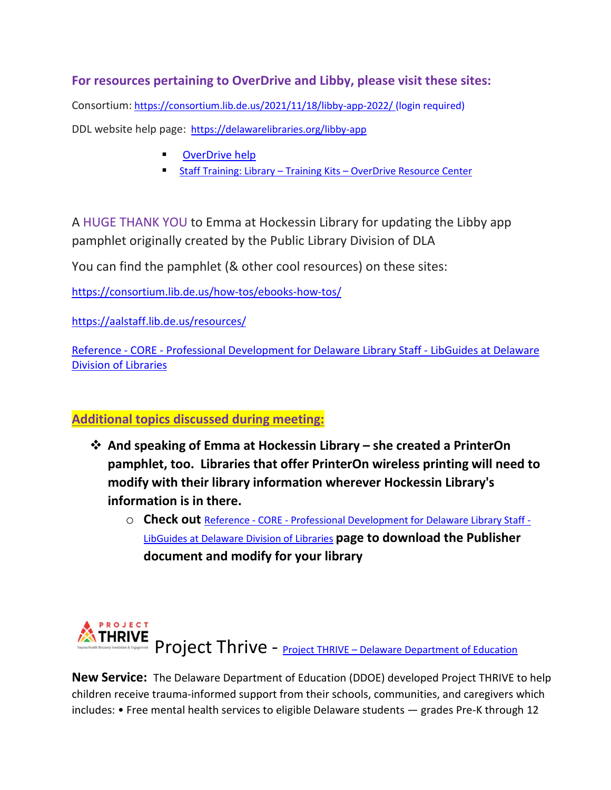#### **For resources pertaining to OverDrive and Libby, please visit these sites:**

Consortium: <https://consortium.lib.de.us/2021/11/18/libby-app-2022/> (login required)

DDL website help page: <https://delawarelibraries.org/libby-app>

- [OverDrive help](https://help.overdrive.com/en-us/home.htm)
- **Staff Training: Library Training Kits [OverDrive Resource Center](https://resources.overdrive.com/library/training-kits/)**

A HUGE THANK YOU to Emma at Hockessin Library for updating the Libby app pamphlet originally created by the Public Library Division of DLA

You can find the pamphlet (& other cool resources) on these sites:

<https://consortium.lib.de.us/how-tos/ebooks-how-tos/>

<https://aalstaff.lib.de.us/resources/>

Reference - CORE - [Professional Development for Delaware Library Staff -](https://guides.lib.de.us/profdev/refcore) LibGuides at Delaware [Division of Libraries](https://guides.lib.de.us/profdev/refcore)

#### **Additional topics discussed during meeting:**

- **And speaking of Emma at Hockessin Library – she created a PrinterOn pamphlet, too. Libraries that offer PrinterOn wireless printing will need to modify with their library information wherever Hockessin Library's information is in there.**
	- o **Check out** Reference CORE [Professional Development for Delaware Library Staff -](https://guides.lib.de.us/profdev/refcore) [LibGuides at Delaware Division of Libraries](https://guides.lib.de.us/profdev/refcore) **page to download the Publisher document and modify for your library**



**New Service:** The Delaware Department of Education (DDOE) developed Project THRIVE to help children receive trauma-informed support from their schools, communities, and caregivers which includes: • Free mental health services to eligible Delaware students — grades Pre-K through 12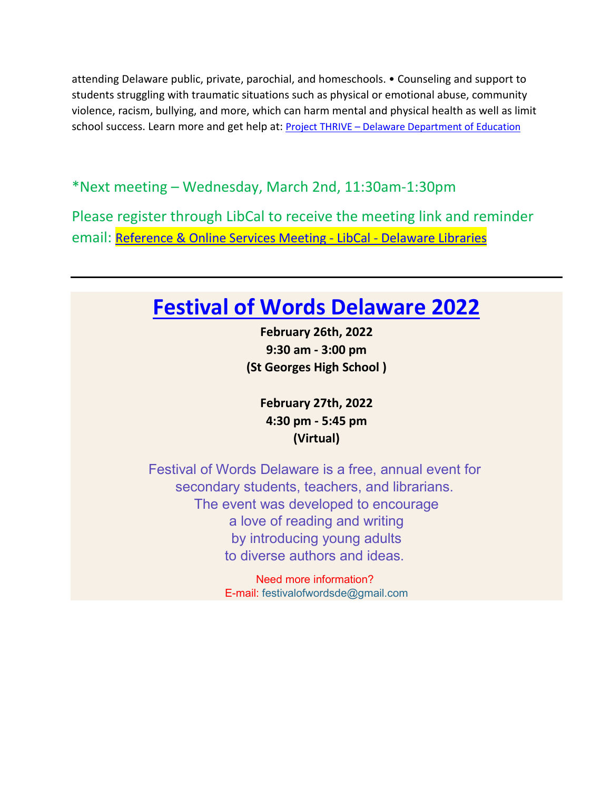attending Delaware public, private, parochial, and homeschools. • Counseling and support to students struggling with traumatic situations such as physical or emotional abuse, community violence, racism, bullying, and more, which can harm mental and physical health as well as limit school success. Learn more and get help at: Project THRIVE – [Delaware Department of Education](https://education.delaware.gov/pages/project-thrive/)

\*Next meeting – Wednesday, March 2nd, 11:30am-1:30pm

Please register through LibCal to receive the meeting link and reminder email: [Reference & Online Services Meeting -](https://delawarelibraries.libcal.com/event/8490713) LibCal - Delaware Libraries

# **[Festival of Words Delaware 2022](http://www.festivalofwordsde.com/)**

**February 26th, 2022 9:30 am - 3:00 pm (St Georges High School )**

**February 27th, 2022 4:30 pm - 5:45 pm (Virtual)**

Festival of Words Delaware is a free, annual event for secondary students, teachers, and librarians. The event was developed to encourage a love of reading and writing by introducing young adults to diverse authors and ideas.

> Need more information? E-mail: festivalofwordsde@gmail.com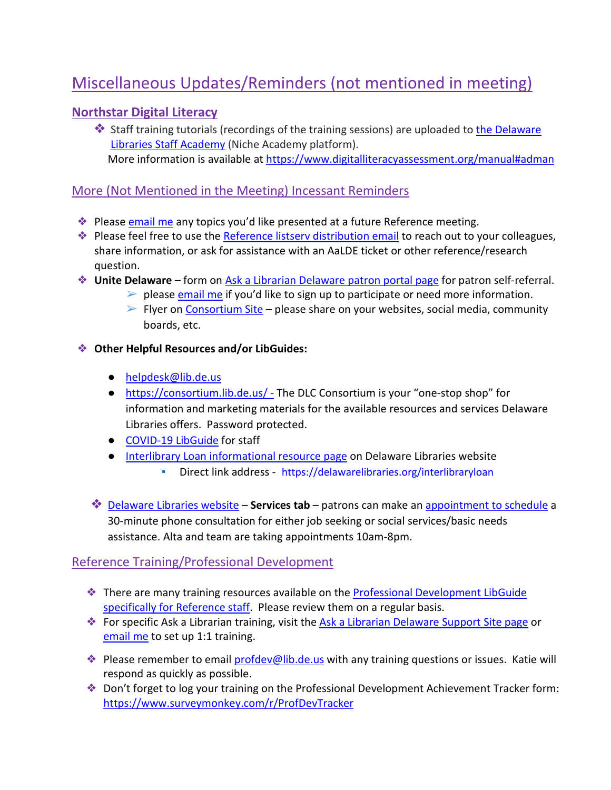# Miscellaneous Updates/Reminders (not mentioned in meeting)

#### **[Northstar Digital Literacy](https://lib.de.us/northstar/)**

❖ Staff training tutorials (recordings of the training sessions) are uploaded to [the Delaware](https://my.nicheacademy.com/delawarelibrariesstaffacademy?category=11828)  [Libraries Staff Academy](https://my.nicheacademy.com/delawarelibrariesstaffacademy?category=11828) (Niche Academy platform). More information is available a[t https://www.digitalliteracyassessment.org/manual#adman](https://www.digitalliteracyassessment.org/manual#adman)

#### More (Not Mentioned in the Meeting) Incessant Reminders

- ❖ Please [email me](mailto:missy.williams@lib.de.us) any topics you'd like presented at a future Reference meeting.
- ❖ Please feel free to use the [Reference listserv distribution email](mailto:reference@listserv.lib.de.us) to reach out to your colleagues, share information, or ask for assistance with an AaLDE ticket or other reference/research question.
- ❖ **Unite Delaware** form on [Ask a Librarian Delaware patron portal page](https://answers.delawarelibraries.org/) for patron self-referral.
	- $\triangleright$  please [email me](mailto:missy.williams@lib.de.us) if you'd like to sign up to participate or need more information.
	- $\triangleright$  Flyer on [Consortium Site](https://consortium.lib.de.us/marketing/) please share on your websites, social media, community boards, etc.

#### ❖ **Other Helpful Resources and/or LibGuides:**

- [helpdesk@lib.de.us](mailto:helpdesk@lib.de.us)
- <https://consortium.lib.de.us/> The DLC Consortium is your "one-stop shop" for information and marketing materials for the available resources and services Delaware Libraries offers. Password protected.
- [COVID-19 LibGuide](https://guides.lib.de.us/delibraries/COVID-19) for staff
- **[Interlibrary Loan informational resource page](https://lib.de.us/interlibraryloan/) on Delaware Libraries website** 
	- Direct link address <https://delawarelibraries.org/interlibraryloan>
- ❖ [Delaware Libraries website](https://lib.de.us/) **Services tab** patrons can make an [appointment to schedule](https://delawarelibraries.libcal.com/appointments/) a 30-minute phone consultation for either job seeking or social services/basic needs assistance. Alta and team are taking appointments 10am-8pm.

#### Reference Training/Professional Development

- ❖ There are many training resources available on the [Professional Development LibGuide](https://guides.lib.de.us/c.php?g=386101&p=2619930)  [specifically for Reference staff.](https://guides.lib.de.us/c.php?g=386101&p=2619930) Please review them on a regular basis.
- ◆ For specific Ask a Librarian training, visit the [Ask a Librarian Delaware Support Site page](https://aalstaff.lib.de.us/all-meetings-trainings/training-tutorials/) or [email me](mailto:missy.williams@lib.de.us) to set up 1:1 training.
- ◆ Please remember to email [profdev@lib.de.us](mailto:profdev@lib.de.us) with any training questions or issues. Katie will respond as quickly as possible.
- ❖ Don't forget to log your training on the Professional Development Achievement Tracker form: <https://www.surveymonkey.com/r/ProfDevTracker>